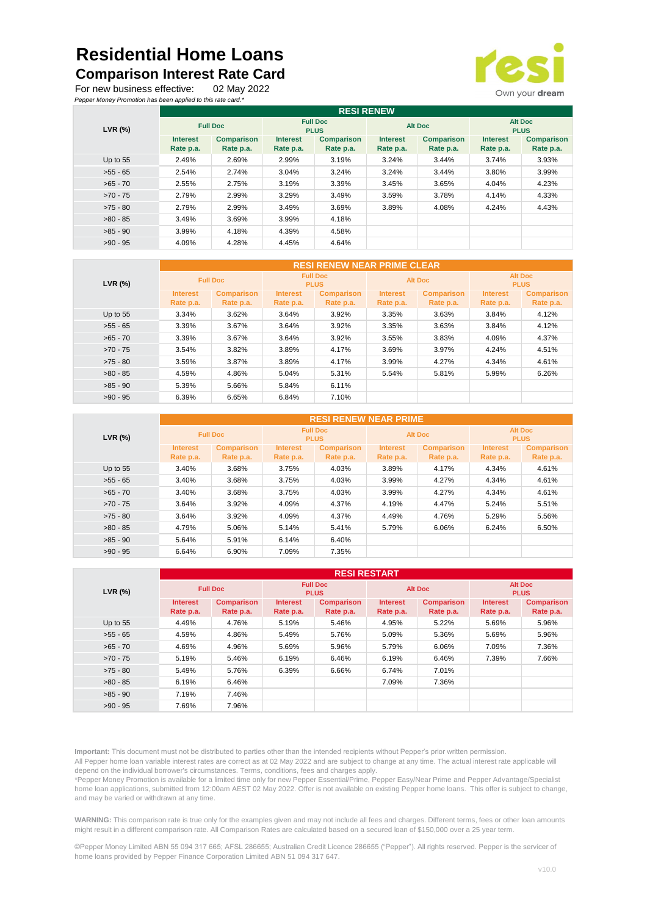## **Residential Home Loans**

## **Comparison Interest Rate Card**

For new business effective: 02 May 2022 *Pepper Money Promotion has been applied to this rate card.\**



|            | <b>RESI RENEW</b>            |                                |                                |                                |                              |                                |                               |                                |  |  |
|------------|------------------------------|--------------------------------|--------------------------------|--------------------------------|------------------------------|--------------------------------|-------------------------------|--------------------------------|--|--|
| $LVR$ (%)  | <b>Full Doc</b>              |                                | <b>Full Doc</b><br><b>PLUS</b> |                                | <b>Alt Doc</b>               |                                | <b>Alt Doc</b><br><b>PLUS</b> |                                |  |  |
|            | <b>Interest</b><br>Rate p.a. | <b>Comparison</b><br>Rate p.a. | <b>Interest</b><br>Rate p.a.   | <b>Comparison</b><br>Rate p.a. | <b>Interest</b><br>Rate p.a. | <b>Comparison</b><br>Rate p.a. | <b>Interest</b><br>Rate p.a.  | <b>Comparison</b><br>Rate p.a. |  |  |
| Up to $55$ | 2.49%                        | 2.69%                          | 2.99%                          | 3.19%                          | 3.24%                        | 3.44%                          | 3.74%                         | 3.93%                          |  |  |
| $>55 - 65$ | 2.54%                        | 2.74%                          | 3.04%                          | 3.24%                          | 3.24%                        | 3.44%                          | 3.80%                         | 3.99%                          |  |  |
| $>65 - 70$ | 2.55%                        | 2.75%                          | 3.19%                          | 3.39%                          | 3.45%                        | 3.65%                          | 4.04%                         | 4.23%                          |  |  |
| $>70 - 75$ | 2.79%                        | 2.99%                          | 3.29%                          | 3.49%                          | 3.59%                        | 3.78%                          | 4.14%                         | 4.33%                          |  |  |
| $>75 - 80$ | 2.79%                        | 2.99%                          | 3.49%                          | 3.69%                          | 3.89%                        | 4.08%                          | 4.24%                         | 4.43%                          |  |  |
| $>80 - 85$ | 3.49%                        | 3.69%                          | 3.99%                          | 4.18%                          |                              |                                |                               |                                |  |  |
| $>85 - 90$ | 3.99%                        | 4.18%                          | 4.39%                          | 4.58%                          |                              |                                |                               |                                |  |  |
| $>90 - 95$ | 4.09%                        | 4.28%                          | 4.45%                          | 4.64%                          |                              |                                |                               |                                |  |  |

| LVR (%)    | <b>RESI RENEW NEAR PRIME CLEAR</b> |                   |                                |                   |                 |                   |                               |                   |  |
|------------|------------------------------------|-------------------|--------------------------------|-------------------|-----------------|-------------------|-------------------------------|-------------------|--|
|            | <b>Full Doc</b>                    |                   | <b>Full Doc</b><br><b>PLUS</b> |                   | <b>Alt Doc</b>  |                   | <b>Alt Doc</b><br><b>PLUS</b> |                   |  |
|            | <b>Interest</b>                    | <b>Comparison</b> | <b>Interest</b>                | <b>Comparison</b> | <b>Interest</b> | <b>Comparison</b> | <b>Interest</b>               | <b>Comparison</b> |  |
|            | Rate p.a.                          | Rate p.a.         | Rate p.a.                      | Rate p.a.         | Rate p.a.       | Rate p.a.         | Rate p.a.                     | Rate p.a.         |  |
| Up to $55$ | 3.34%                              | 3.62%             | 3.64%                          | 3.92%             | 3.35%           | 3.63%             | 3.84%                         | 4.12%             |  |
| $>55 - 65$ | 3.39%                              | 3.67%             | 3.64%                          | 3.92%             | 3.35%           | 3.63%             | 3.84%                         | 4.12%             |  |
| $>65 - 70$ | 3.39%                              | 3.67%             | 3.64%                          | 3.92%             | 3.55%           | 3.83%             | 4.09%                         | 4.37%             |  |
| $>70 - 75$ | 3.54%                              | 3.82%             | 3.89%                          | 4.17%             | 3.69%           | 3.97%             | 4.24%                         | 4.51%             |  |
| $>75 - 80$ | 3.59%                              | 3.87%             | 3.89%                          | 4.17%             | 3.99%           | 4.27%             | 4.34%                         | 4.61%             |  |
| $>80 - 85$ | 4.59%                              | 4.86%             | 5.04%                          | 5.31%             | 5.54%           | 5.81%             | 5.99%                         | 6.26%             |  |
| $>85 - 90$ | 5.39%                              | 5.66%             | 5.84%                          | 6.11%             |                 |                   |                               |                   |  |
| $>90 - 95$ | 6.39%                              | 6.65%             | 6.84%                          | 7.10%             |                 |                   |                               |                   |  |

| LVR (%)    | <b>RESI RENEW NEAR PRIME</b> |                   |                                |                   |                 |                   |                               |                   |  |
|------------|------------------------------|-------------------|--------------------------------|-------------------|-----------------|-------------------|-------------------------------|-------------------|--|
|            | <b>Full Doc</b>              |                   | <b>Full Doc</b><br><b>PLUS</b> |                   | <b>Alt Doc</b>  |                   | <b>Alt Doc</b><br><b>PLUS</b> |                   |  |
|            | <b>Interest</b>              | <b>Comparison</b> | <b>Interest</b>                | <b>Comparison</b> | <b>Interest</b> | <b>Comparison</b> | <b>Interest</b>               | <b>Comparison</b> |  |
|            | Rate p.a.                    | Rate p.a.         | Rate p.a.                      | Rate p.a.         | Rate p.a.       | Rate p.a.         | Rate p.a.                     | Rate p.a.         |  |
| Up to $55$ | 3.40%                        | 3.68%             | 3.75%                          | 4.03%             | 3.89%           | 4.17%             | 4.34%                         | 4.61%             |  |
| $>55 - 65$ | 3.40%                        | 3.68%             | 3.75%                          | 4.03%             | 3.99%           | 4.27%             | 4.34%                         | 4.61%             |  |
| $>65 - 70$ | 3.40%                        | 3.68%             | 3.75%                          | 4.03%             | 3.99%           | 4.27%             | 4.34%                         | 4.61%             |  |
| $>70 - 75$ | 3.64%                        | 3.92%             | 4.09%                          | 4.37%             | 4.19%           | 4.47%             | 5.24%                         | 5.51%             |  |
| $>75 - 80$ | 3.64%                        | 3.92%             | 4.09%                          | 4.37%             | 4.49%           | 4.76%             | 5.29%                         | 5.56%             |  |
| $>80 - 85$ | 4.79%                        | 5.06%             | 5.14%                          | 5.41%             | 5.79%           | 6.06%             | 6.24%                         | 6.50%             |  |
| $>85 - 90$ | 5.64%                        | 5.91%             | 6.14%                          | 6.40%             |                 |                   |                               |                   |  |
| $>90 - 95$ | 6.64%                        | 6.90%             | 7.09%                          | 7.35%             |                 |                   |                               |                   |  |

| $LVR$ (%)  | <b>RESI RESTART</b> |                   |                                |                   |                 |                   |                               |                   |  |
|------------|---------------------|-------------------|--------------------------------|-------------------|-----------------|-------------------|-------------------------------|-------------------|--|
|            | <b>Full Doc</b>     |                   | <b>Full Doc</b><br><b>PLUS</b> |                   | <b>Alt Doc</b>  |                   | <b>Alt Doc</b><br><b>PLUS</b> |                   |  |
|            | <b>Interest</b>     | <b>Comparison</b> | <b>Interest</b>                | <b>Comparison</b> | <b>Interest</b> | <b>Comparison</b> | <b>Interest</b>               | <b>Comparison</b> |  |
|            | Rate p.a.           | Rate p.a.         | Rate p.a.                      | Rate p.a.         | Rate p.a.       | Rate p.a.         | Rate p.a.                     | Rate p.a.         |  |
| Up to $55$ | 4.49%               | 4.76%             | 5.19%                          | 5.46%             | 4.95%           | 5.22%             | 5.69%                         | 5.96%             |  |
| $>55 - 65$ | 4.59%               | 4.86%             | 5.49%                          | 5.76%             | 5.09%           | 5.36%             | 5.69%                         | 5.96%             |  |
| $>65 - 70$ | 4.69%               | 4.96%             | 5.69%                          | 5.96%             | 5.79%           | 6.06%             | 7.09%                         | 7.36%             |  |
| $>70 - 75$ | 5.19%               | 5.46%             | 6.19%                          | 6.46%             | 6.19%           | 6.46%             | 7.39%                         | 7.66%             |  |
| $>75 - 80$ | 5.49%               | 5.76%             | 6.39%                          | 6.66%             | 6.74%           | 7.01%             |                               |                   |  |
| $>80 - 85$ | 6.19%               | 6.46%             |                                |                   | 7.09%           | 7.36%             |                               |                   |  |
| $>85 - 90$ | 7.19%               | 7.46%             |                                |                   |                 |                   |                               |                   |  |
| $>90 - 95$ | 7.69%               | 7.96%             |                                |                   |                 |                   |                               |                   |  |

**Important:** This document must not be distributed to parties other than the intended recipients without Pepper's prior written permission. All Pepper home loan variable interest rates are correct as at 02 May 2022 and are subject to change at any time. The actual interest rate applicable will depend on the individual borrower's circumstances. Terms, conditions, fees and charges apply.

\*Pepper Money Promotion is available for a limited time only for new Pepper Essential/Prime, Pepper Easy/Near Prime and Pepper Advantage/Specialist home loan applications, submitted from 12:00am AEST 02 May 2022. Offer is not available on existing Pepper home loans. This offer is subject to change, and may be varied or withdrawn at any time.

**WARNING:** This comparison rate is true only for the examples given and may not include all fees and charges. Different terms, fees or other loan amounts might result in a different comparison rate. All Comparison Rates are calculated based on a secured loan of \$150,000 over a 25 year term.

©Pepper Money Limited ABN 55 094 317 665; AFSL 286655; Australian Credit Licence 286655 ("Pepper"). All rights reserved. Pepper is the servicer of home loans provided by Pepper Finance Corporation Limited ABN 51 094 317 647.